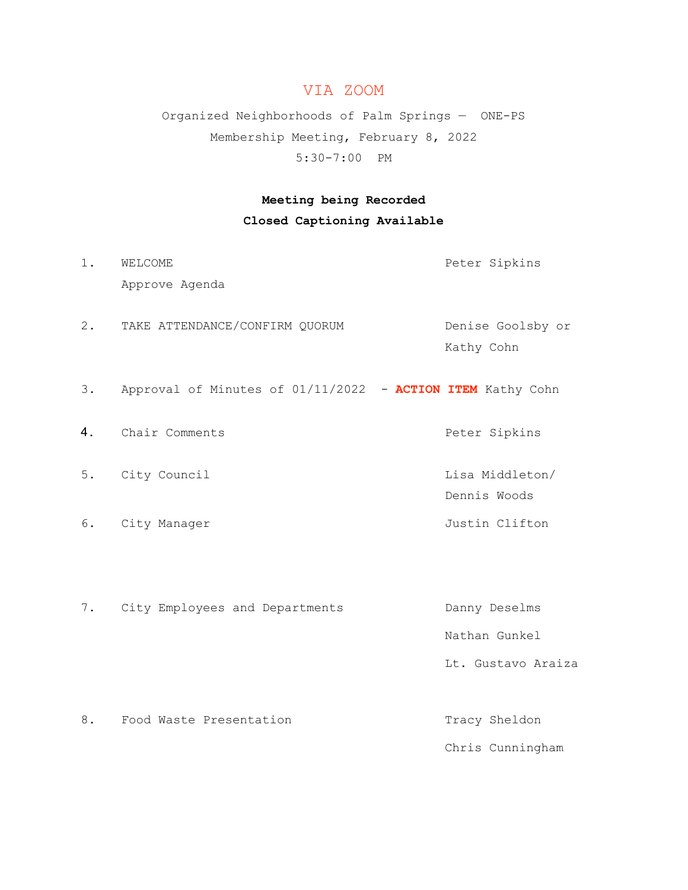## VIA ZOOM

Organized Neighborhoods of Palm Springs — ONE-PS Membership Meeting, February 8, 2022 5:30-7:00 PM

## **Meeting being Recorded**

## **Closed Captioning Available**

1. WELCOME **Peter Sipkins** Approve Agenda 2. TAKE ATTENDANCE/CONFIRM QUORUM Denise Goolsby or Kathy Cohn 3. Approval of Minutes of 01/11/2022 - **ACTION ITEM** Kathy Cohn 4. Chair Comments **All Peter Sipkins** 5. City Council and the council contract of the council contract of the contract of the contract of the contract of the contract of the contract of the contract of the contract of the contract of the contract of the contra Dennis Woods 6. City Manager **Gallery Communist Communist Communist Communist Clifton** 7. City Employees and Departments Danny Deselms Nathan Gunkel Lt. Gustavo Araiza 8. Food Waste Presentation Tracy Sheldon Chris Cunningham